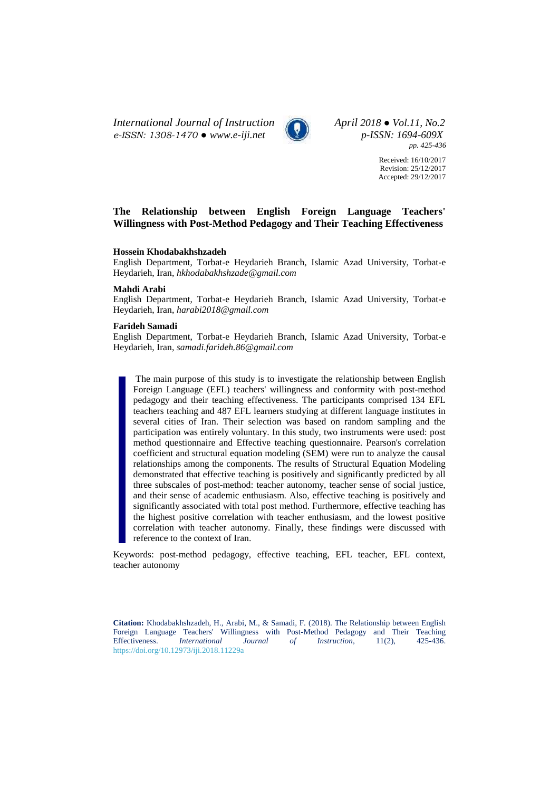*International Journal of Instruction April 2018 ● Vol.11, No.2 e-ISSN: 1308-1470 ● [www.e-iji.net](http://www.e-iji.net/) p-ISSN: 1694-609X*



*pp. 425-436*

Received: 16/10/2017 Revision: 25/12/2017 Accepted: 29/12/2017

# **The Relationship between English Foreign Language Teachers' Willingness with Post-Method Pedagogy and Their Teaching Effectiveness**

#### **Hossein Khodabakhshzadeh**

English Department, Torbat-e Heydarieh Branch, Islamic Azad University, Torbat-e Heydarieh, Iran, *hkhodabakhshzade@gmail.com*

#### **Mahdi Arabi**

English Department, Torbat-e Heydarieh Branch, Islamic Azad University, Torbat-e Heydarieh, Iran, *harabi2018@gmail.com*

#### **Farideh Samadi**

English Department, Torbat-e Heydarieh Branch, Islamic Azad University, Torbat-e Heydarieh, Iran, *samadi.farideh.86@gmail.com*

The main purpose of this study is to investigate the relationship between English Foreign Language (EFL) teachers' willingness and conformity with post-method pedagogy and their teaching effectiveness. The participants comprised 134 EFL teachers teaching and 487 EFL learners studying at different language institutes in several cities of Iran. Their selection was based on random sampling and the participation was entirely voluntary. In this study, two instruments were used: post method questionnaire and Effective teaching questionnaire. Pearson's correlation coefficient and structural equation modeling (SEM) were run to analyze the causal relationships among the components. The results of Structural Equation Modeling demonstrated that effective teaching is positively and significantly predicted by all three subscales of post-method: teacher autonomy, teacher sense of social justice, and their sense of academic enthusiasm. Also, effective teaching is positively and significantly associated with total post method. Furthermore, effective teaching has the highest positive correlation with teacher enthusiasm, and the lowest positive correlation with teacher autonomy. Finally, these findings were discussed with reference to the context of Iran.

Keywords: post-method pedagogy, effective teaching, EFL teacher, EFL context, teacher autonomy

**Citation:** Khodabakhshzadeh, H., Arabi, M., & Samadi, F. (2018). The Relationship between English Foreign Language Teachers' Willingness with Post-Method Pedagogy and Their Teaching Effectiveness. *International Journal of Instruction*, 11(2), 425-436. Effectiveness. *International Journal of Instruction*, 11(2), <https://doi.org/10.12973/iji.2018.11229a>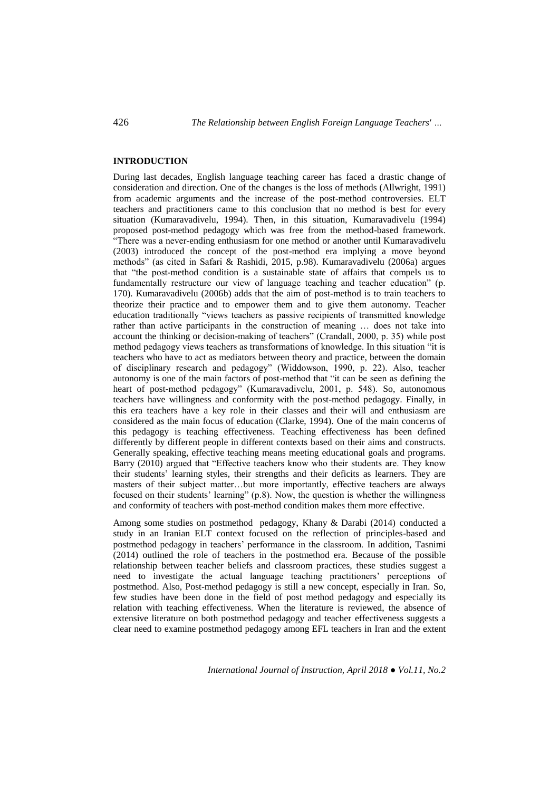## **INTRODUCTION**

During last decades, English language teaching career has faced a drastic change of consideration and direction. One of the changes is the loss of methods (Allwright, 1991) from academic arguments and the increase of the post-method controversies. ELT teachers and practitioners came to this conclusion that no method is best for every situation (Kumaravadivelu, 1994). Then, in this situation, Kumaravadivelu (1994) proposed post-method pedagogy which was free from the method-based framework. "There was a never-ending enthusiasm for one method or another until Kumaravadivelu (2003) introduced the concept of the post-method era implying a move beyond methods" (as cited in Safari & Rashidi, 2015, p.98). Kumaravadivelu (2006a) argues that "the post-method condition is a sustainable state of affairs that compels us to fundamentally restructure our view of language teaching and teacher education" (p. 170). Kumaravadivelu (2006b) adds that the aim of post-method is to train teachers to theorize their practice and to empower them and to give them autonomy. Teacher education traditionally "views teachers as passive recipients of transmitted knowledge rather than active participants in the construction of meaning … does not take into account the thinking or decision-making of teachers" (Crandall, 2000, p. 35) while post method pedagogy views teachers as transformations of knowledge. In this situation "it is teachers who have to act as mediators between theory and practice, between the domain of disciplinary research and pedagogy" (Widdowson, 1990, p. 22). Also, teacher autonomy is one of the main factors of post-method that "it can be seen as defining the heart of post-method pedagogy" (Kumaravadivelu, 2001, p. 548). So, autonomous teachers have willingness and conformity with the post-method pedagogy. Finally, in this era teachers have a key role in their classes and their will and enthusiasm are considered as the main focus of education (Clarke, 1994). One of the main concerns of this pedagogy is teaching effectiveness. Teaching effectiveness has been defined differently by different people in different contexts based on their aims and constructs. Generally speaking, effective teaching means meeting educational goals and programs. Barry (2010) argued that "Effective teachers know who their students are. They know their students' learning styles, their strengths and their deficits as learners. They are masters of their subject matter…but more importantly, effective teachers are always focused on their students' learning" (p.8). Now, the question is whether the willingness and conformity of teachers with post-method condition makes them more effective.

Among some studies on postmethod pedagogy, Khany & Darabi (2014) conducted a study in an Iranian ELT context focused on the reflection of principles-based and postmethod pedagogy in teachers' performance in the classroom. In addition, Tasnimi (2014) outlined the role of teachers in the postmethod era. Because of the possible relationship between teacher beliefs and classroom practices, these studies suggest a need to investigate the actual language teaching practitioners' perceptions of postmethod. Also, Post-method pedagogy is still a new concept, especially in Iran. So, few studies have been done in the field of post method pedagogy and especially its relation with teaching effectiveness. When the literature is reviewed, the absence of extensive literature on both postmethod pedagogy and teacher effectiveness suggests a clear need to examine postmethod pedagogy among EFL teachers in Iran and the extent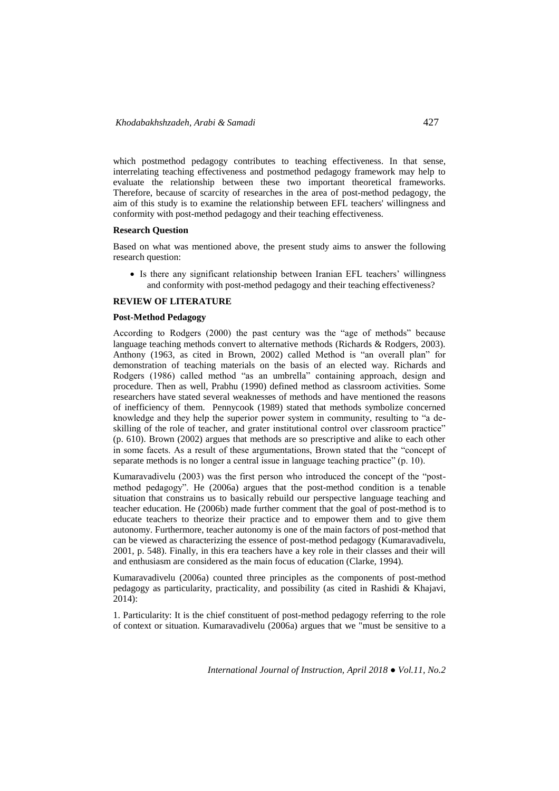which postmethod pedagogy contributes to teaching effectiveness. In that sense, interrelating teaching effectiveness and postmethod pedagogy framework may help to evaluate the relationship between these two important theoretical frameworks. Therefore, because of scarcity of researches in the area of post-method pedagogy, the aim of this study is to examine the relationship between EFL teachers' willingness and conformity with post-method pedagogy and their teaching effectiveness.

### **Research Question**

Based on what was mentioned above, the present study aims to answer the following research question:

 Is there any significant relationship between Iranian EFL teachers' willingness and conformity with post-method pedagogy and their teaching effectiveness?

### **REVIEW OF LITERATURE**

### **Post-Method Pedagogy**

According to Rodgers (2000) the past century was the "age of methods" because language teaching methods convert to alternative methods (Richards & Rodgers, 2003). Anthony (1963, as cited in Brown, 2002) called Method is "an overall plan" for demonstration of teaching materials on the basis of an elected way. Richards and Rodgers (1986) called method "as an umbrella" containing approach, design and procedure. Then as well, Prabhu (1990) defined method as classroom activities. Some researchers have stated several weaknesses of methods and have mentioned the reasons of inefficiency of them. Pennycook (1989) stated that methods symbolize concerned knowledge and they help the superior power system in community, resulting to "a deskilling of the role of teacher, and grater institutional control over classroom practice" (p. 610). Brown (2002) argues that methods are so prescriptive and alike to each other in some facets. As a result of these argumentations, Brown stated that the "concept of separate methods is no longer a central issue in language teaching practice" (p. 10).

Kumaravadivelu (2003) was the first person who introduced the concept of the "postmethod pedagogy". He (2006a) argues that the post-method condition is a tenable situation that constrains us to basically rebuild our perspective language teaching and teacher education. He (2006b) made further comment that the goal of post-method is to educate teachers to theorize their practice and to empower them and to give them autonomy. Furthermore, teacher autonomy is one of the main factors of post-method that can be viewed as characterizing the essence of post-method pedagogy (Kumaravadivelu, 2001, p. 548). Finally, in this era teachers have a key role in their classes and their will and enthusiasm are considered as the main focus of education (Clarke, 1994).

Kumaravadivelu (2006a) counted three principles as the components of post-method pedagogy as particularity, practicality, and possibility (as cited in Rashidi & Khajavi, 2014):

1. Particularity: It is the chief constituent of post-method pedagogy referring to the role of context or situation. Kumaravadivelu (2006a) argues that we "must be sensitive to a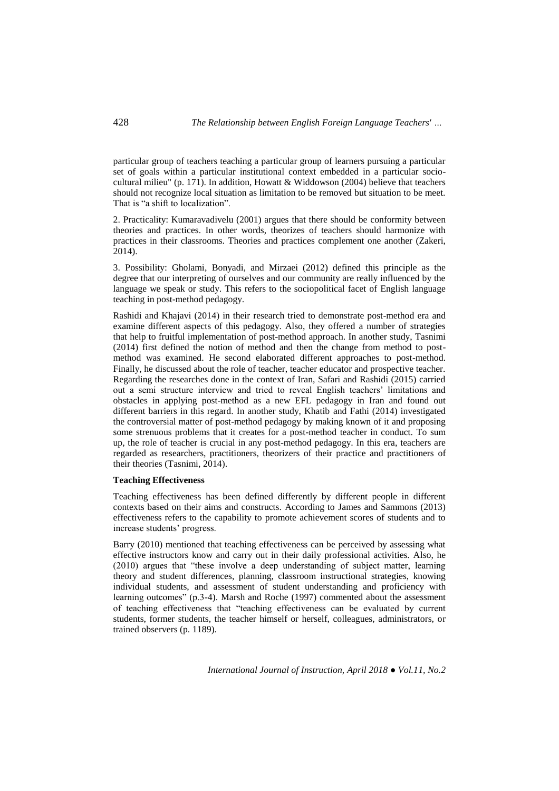particular group of teachers teaching a particular group of learners pursuing a particular set of goals within a particular institutional context embedded in a particular sociocultural milieu" (p. 171). In addition, Howatt & Widdowson (2004) believe that teachers should not recognize local situation as limitation to be removed but situation to be meet. That is "a shift to localization".

2. Practicality: Kumaravadivelu (2001) argues that there should be conformity between theories and practices. In other words, theorizes of teachers should harmonize with practices in their classrooms. Theories and practices complement one another (Zakeri, 2014).

3. Possibility: Gholami, Bonyadi, and Mirzaei (2012) defined this principle as the degree that our interpreting of ourselves and our community are really influenced by the language we speak or study. This refers to the sociopolitical facet of English language teaching in post-method pedagogy.

Rashidi and Khajavi (2014) in their research tried to demonstrate post-method era and examine different aspects of this pedagogy. Also, they offered a number of strategies that help to fruitful implementation of post-method approach. In another study, Tasnimi (2014) first defined the notion of method and then the change from method to postmethod was examined. He second elaborated different approaches to post-method. Finally, he discussed about the role of teacher, teacher educator and prospective teacher. Regarding the researches done in the context of Iran, Safari and Rashidi (2015) carried out a semi structure interview and tried to reveal English teachers' limitations and obstacles in applying post-method as a new EFL pedagogy in Iran and found out different barriers in this regard. In another study, Khatib and Fathi (2014) investigated the controversial matter of post-method pedagogy by making known of it and proposing some strenuous problems that it creates for a post-method teacher in conduct. To sum up, the role of teacher is crucial in any post-method pedagogy. In this era, teachers are regarded as researchers, practitioners, theorizers of their practice and practitioners of their theories (Tasnimi, 2014).

# **Teaching Effectiveness**

Teaching effectiveness has been defined differently by different people in different contexts based on their aims and constructs. According to James and Sammons (2013) effectiveness refers to the capability to promote achievement scores of students and to increase students' progress.

Barry (2010) mentioned that teaching effectiveness can be perceived by assessing what effective instructors know and carry out in their daily professional activities. Also, he (2010) argues that "these involve a deep understanding of subject matter, learning theory and student differences, planning, classroom instructional strategies, knowing individual students, and assessment of student understanding and proficiency with learning outcomes" (p.3-4). Marsh and Roche (1997) commented about the assessment of teaching effectiveness that "teaching effectiveness can be evaluated by current students, former students, the teacher himself or herself, colleagues, administrators, or trained observers (p. 1189).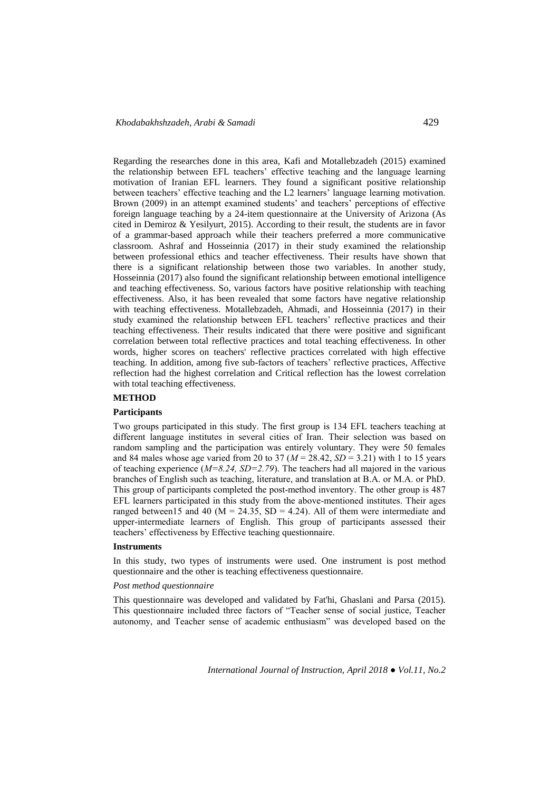Regarding the researches done in this area, Kafi and Motallebzadeh (2015) examined the relationship between EFL teachers' effective teaching and the language learning motivation of Iranian EFL learners. They found a significant positive relationship between teachers' effective teaching and the L2 learners' language learning motivation. Brown (2009) in an attempt examined students' and teachers' perceptions of effective foreign language teaching by a 24-item questionnaire at the University of Arizona (As cited in Demiroz & Yesilyurt, 2015). According to their result, the students are in favor of a grammar-based approach while their teachers preferred a more communicative classroom. Ashraf and Hosseinnia (2017) in their study examined the relationship between professional ethics and teacher effectiveness. Their results have shown that there is a significant relationship between those two variables. In another study, Hosseinnia (2017) also found the significant relationship between emotional intelligence and teaching effectiveness. So, various factors have positive relationship with teaching effectiveness. Also, it has been revealed that some factors have negative relationship with teaching effectiveness. Motallebzadeh, Ahmadi, and Hosseinnia (2017) in their study examined the relationship between EFL teachers' reflective practices and their teaching effectiveness. Their results indicated that there were positive and significant correlation between total reflective practices and total teaching effectiveness. In other words, higher scores on teachers' reflective practices correlated with high effective teaching. In addition, among five sub-factors of teachers' reflective practices, Affective reflection had the highest correlation and Critical reflection has the lowest correlation with total teaching effectiveness.

# **METHOD**

### **Participants**

Two groups participated in this study. The first group is 134 EFL teachers teaching at different language institutes in several cities of Iran. Their selection was based on random sampling and the participation was entirely voluntary. They were 50 females and 84 males whose age varied from 20 to 37 ( $M = 28.42$ ,  $SD = 3.21$ ) with 1 to 15 years of teaching experience (*M=8.24, SD=2.79*). The teachers had all majored in the various branches of English such as teaching, literature, and translation at B.A. or M.A. or PhD. This group of participants completed the post-method inventory. The other group is 487 EFL learners participated in this study from the above-mentioned institutes. Their ages ranged between15 and 40 ( $M = 24.35$ , SD = 4.24). All of them were intermediate and upper-intermediate learners of English. This group of participants assessed their teachers' effectiveness by Effective teaching questionnaire.

#### **Instruments**

In this study, two types of instruments were used. One instrument is post method questionnaire and the other is teaching effectiveness questionnaire.

## *Post method questionnaire*

This questionnaire was developed and validated by Fat'hi, Ghaslani and Parsa (2015). This questionnaire included three factors of "Teacher sense of social justice, Teacher autonomy, and Teacher sense of academic enthusiasm" was developed based on the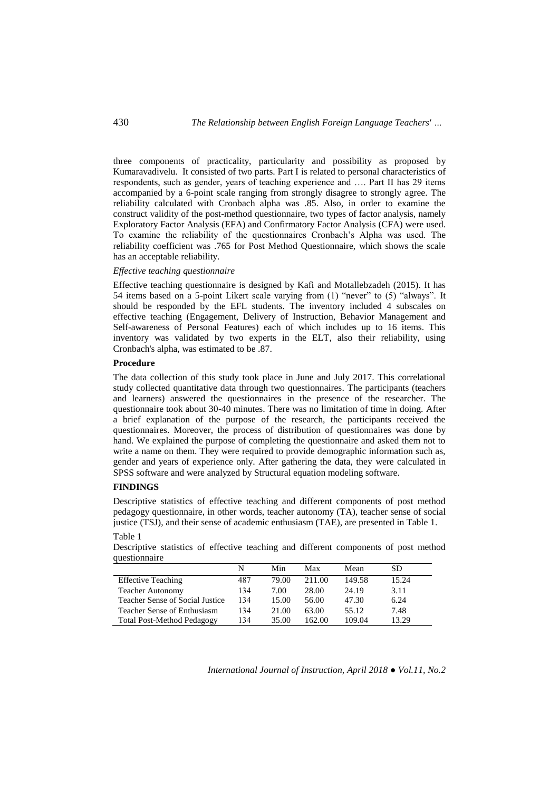three components of practicality, particularity and possibility as proposed by Kumaravadivelu. It consisted of two parts. Part I is related to personal characteristics of respondents, such as gender, years of teaching experience and …. Part II has 29 items accompanied by a 6-point scale ranging from strongly disagree to strongly agree. The reliability calculated with Cronbach alpha was .85. Also, in order to examine the construct validity of the post-method questionnaire, two types of factor analysis, namely Exploratory Factor Analysis (EFA) and Confirmatory Factor Analysis (CFA) were used. To examine the reliability of the questionnaires Cronbach's Alpha was used. The reliability coefficient was .765 for Post Method Questionnaire, which shows the scale has an acceptable reliability.

### *Effective teaching questionnaire*

Effective teaching questionnaire is designed by Kafi and Motallebzadeh (2015). It has 54 items based on a 5-point Likert scale varying from (1) "never" to (5) "always". It should be responded by the EFL students. The inventory included 4 subscales on effective teaching (Engagement, Delivery of Instruction, Behavior Management and Self-awareness of Personal Features) each of which includes up to 16 items. This inventory was validated by two experts in the ELT, also their reliability, using Cronbach's alpha, was estimated to be .87.

#### **Procedure**

The data collection of this study took place in June and July 2017. This correlational study collected quantitative data through two questionnaires. The participants (teachers and learners) answered the questionnaires in the presence of the researcher. The questionnaire took about 30-40 minutes. There was no limitation of time in doing. After a brief explanation of the purpose of the research, the participants received the questionnaires. Moreover, the process of distribution of questionnaires was done by hand. We explained the purpose of completing the questionnaire and asked them not to write a name on them. They were required to provide demographic information such as, gender and years of experience only. After gathering the data, they were calculated in SPSS software and were analyzed by Structural equation modeling software.

### **FINDINGS**

Descriptive statistics of effective teaching and different components of post method pedagogy questionnaire, in other words, teacher autonomy (TA), teacher sense of social justice (TSJ), and their sense of academic enthusiasm (TAE), are presented in Table 1.

#### Table 1

Descriptive statistics of effective teaching and different components of post method questionnaire

|                                   | N   | Min   | Max    | Mean   | SD    |
|-----------------------------------|-----|-------|--------|--------|-------|
| <b>Effective Teaching</b>         | 487 | 79.00 | 211.00 | 149.58 | 15.24 |
| <b>Teacher Autonomy</b>           | 134 | 7.00  | 28.00  | 24.19  | 3.11  |
| Teacher Sense of Social Justice   | 134 | 15.00 | 56.00  | 47.30  | 6.24  |
| Teacher Sense of Enthusiasm       | 134 | 21.00 | 63.00  | 55.12  | 7.48  |
| <b>Total Post-Method Pedagogy</b> | 134 | 35.00 | 162.00 | 109.04 | 13.29 |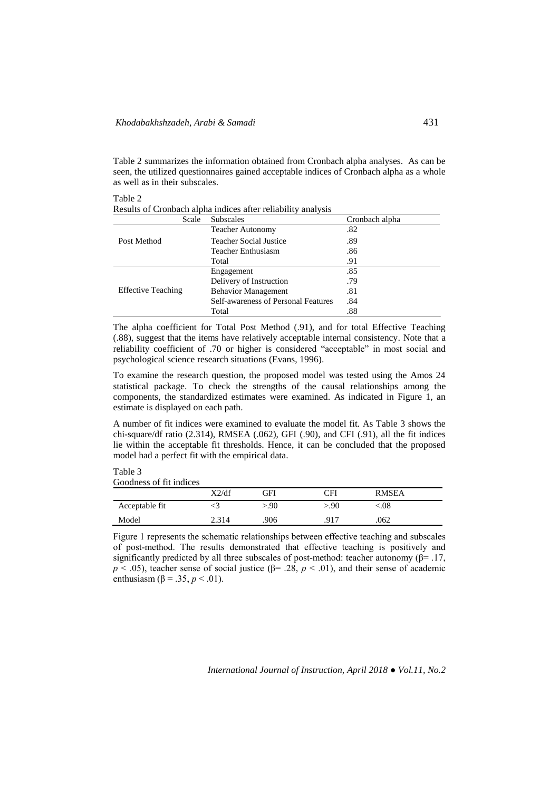Table 2 summarizes the information obtained from Cronbach alpha analyses. As can be seen, the utilized questionnaires gained acceptable indices of Cronbach alpha as a whole as well as in their subscales.

Table 2 Results of Cronbach alpha indices after reliability analysis

| Scale                     | <b>Subscales</b>                    | Cronbach alpha |
|---------------------------|-------------------------------------|----------------|
|                           | <b>Teacher Autonomy</b>             | .82            |
| Post Method               | Teacher Social Justice              | .89            |
|                           | Teacher Enthusiasm                  | .86            |
|                           | Total                               | .91            |
| <b>Effective Teaching</b> | Engagement                          | .85            |
|                           | Delivery of Instruction             | .79            |
|                           | <b>Behavior Management</b>          | .81            |
|                           | Self-awareness of Personal Features | .84            |
|                           | Total                               | .88            |

The alpha coefficient for Total Post Method (.91), and for total Effective Teaching (.88), suggest that the items have relatively acceptable internal consistency. Note that a reliability coefficient of .70 or higher is considered "acceptable" in most social and psychological science research situations (Evans, 1996).

To examine the research question, the proposed model was tested using the Amos 24 statistical package. To check the strengths of the causal relationships among the components, the standardized estimates were examined. As indicated in Figure 1, an estimate is displayed on each path.

A number of fit indices were examined to evaluate the model fit. As Table 3 shows the chi-square/df ratio (2.314), RMSEA (.062), GFI (.90), and CFI (.91), all the fit indices lie within the acceptable fit thresholds. Hence, it can be concluded that the proposed model had a perfect fit with the empirical data.

Table 3 Goodness of fit indices

|                | X2/df | ЭFI  | ΓH   | <b>RMSEA</b> |  |
|----------------|-------|------|------|--------------|--|
| Acceptable fit |       | >.90 | >.90 | $.08\,$      |  |
| Model          |       | 906  | 917  | .062         |  |

Figure 1 represents the schematic relationships between effective teaching and subscales of post-method. The results demonstrated that effective teaching is positively and significantly predicted by all three subscales of post-method: teacher autonomy ( $\beta$ = .17,  $p < .05$ ), teacher sense of social justice ( $\beta$ = .28,  $p < .01$ ), and their sense of academic enthusiasm (β = .35, *p* < .01).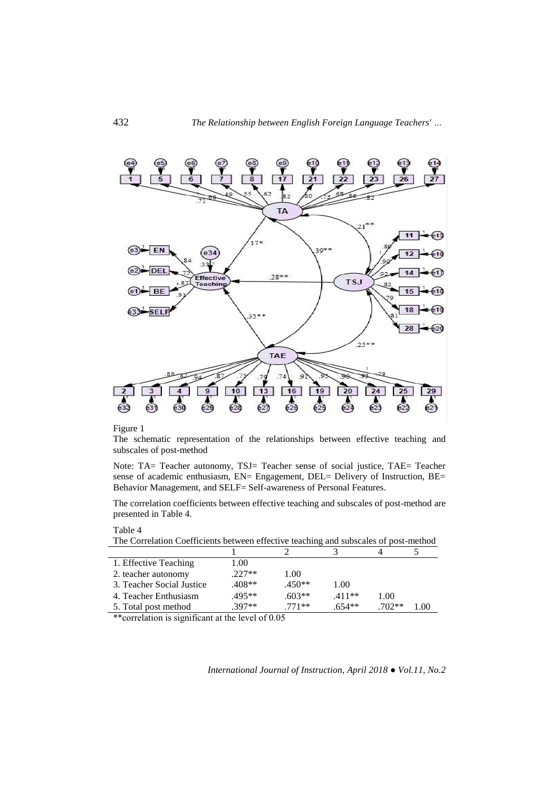

### Figure 1

Table 4

The schematic representation of the relationships between effective teaching and subscales of post-method

Note: TA= Teacher autonomy, TSJ= Teacher sense of social justice, TAE= Teacher sense of academic enthusiasm, EN= Engagement, DEL= Delivery of Instruction, BE= Behavior Management, and SELF= Self-awareness of Personal Features.

The correlation coefficients between effective teaching and subscales of post-method are presented in Table 4.

| The Correlation Coefficients between effective teaching and subscales of post-method |          |          |          |          |      |
|--------------------------------------------------------------------------------------|----------|----------|----------|----------|------|
|                                                                                      |          |          |          |          |      |
| 1. Effective Teaching                                                                | 1.00     |          |          |          |      |
| 2. teacher autonomy                                                                  | $.227**$ | 1.00     |          |          |      |
| 3. Teacher Social Justice                                                            | $.408**$ | $.450**$ | 1.00     |          |      |
| 4. Teacher Enthusiasm                                                                | $.495**$ | $.603**$ | $.411**$ | 1.00     |      |
| 5. Total post method                                                                 | $.397**$ | $.771**$ | $.654**$ | $.702**$ | 1.00 |
| **e $\alpha$ rrelation is significant at the level of 0.05                           |          |          |          |          |      |

\*correlation is significant at the level of 0.05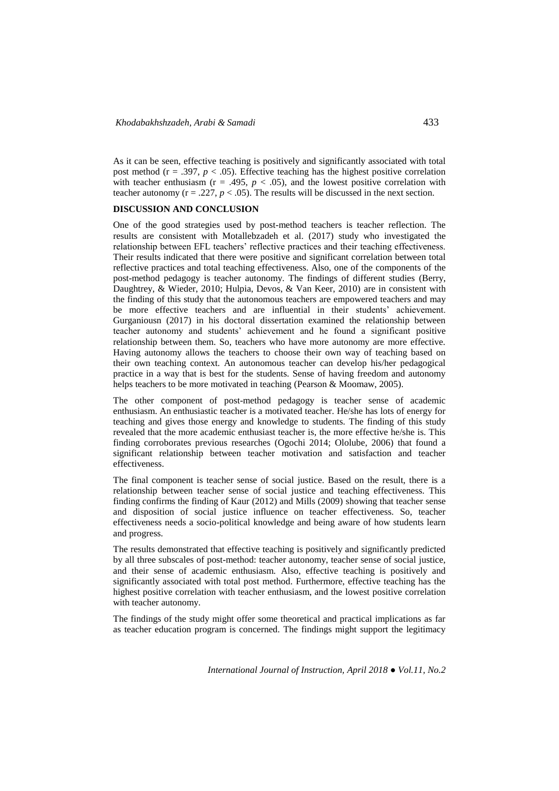As it can be seen, effective teaching is positively and significantly associated with total post method ( $r = .397$ ,  $p < .05$ ). Effective teaching has the highest positive correlation with teacher enthusiasm ( $r = .495$ ,  $p < .05$ ), and the lowest positive correlation with teacher autonomy ( $r = .227$ ,  $p < .05$ ). The results will be discussed in the next section.

### **DISCUSSION AND CONCLUSION**

One of the good strategies used by post-method teachers is teacher reflection. The results are consistent with Motallebzadeh et al. (2017) study who investigated the relationship between EFL teachers' reflective practices and their teaching effectiveness. Their results indicated that there were positive and significant correlation between total reflective practices and total teaching effectiveness. Also, one of the components of the post-method pedagogy is teacher autonomy. The findings of different studies (Berry, Daughtrey, & Wieder, 2010; Hulpia, Devos, & Van Keer, 2010) are in consistent with the finding of this study that the autonomous teachers are empowered teachers and may be more effective teachers and are influential in their students' achievement. Gurganiousn (2017) in his doctoral dissertation examined the relationship between teacher autonomy and students' achievement and he found a significant positive relationship between them. So, teachers who have more autonomy are more effective. Having autonomy allows the teachers to choose their own way of teaching based on their own teaching context. An autonomous teacher can develop his/her pedagogical practice in a way that is best for the students. Sense of having freedom and autonomy helps teachers to be more motivated in teaching (Pearson & Moomaw, 2005).

The other component of post-method pedagogy is teacher sense of academic enthusiasm. An enthusiastic teacher is a motivated teacher. He/she has lots of energy for teaching and gives those energy and knowledge to students. The finding of this study revealed that the more academic enthusiast teacher is, the more effective he/she is. This finding corroborates previous researches (Ogochi 2014; Ololube, 2006) that found a significant relationship between teacher motivation and satisfaction and teacher effectiveness.

The final component is teacher sense of social justice. Based on the result, there is a relationship between teacher sense of social justice and teaching effectiveness. This finding confirms the finding of Kaur (2012) and Mills (2009) showing that teacher sense and disposition of social justice influence on teacher effectiveness. So, teacher effectiveness needs a socio-political knowledge and being aware of how students learn and progress.

The results demonstrated that effective teaching is positively and significantly predicted by all three subscales of post-method: teacher autonomy, teacher sense of social justice, and their sense of academic enthusiasm. Also, effective teaching is positively and significantly associated with total post method. Furthermore, effective teaching has the highest positive correlation with teacher enthusiasm, and the lowest positive correlation with teacher autonomy.

The findings of the study might offer some theoretical and practical implications as far as teacher education program is concerned. The findings might support the legitimacy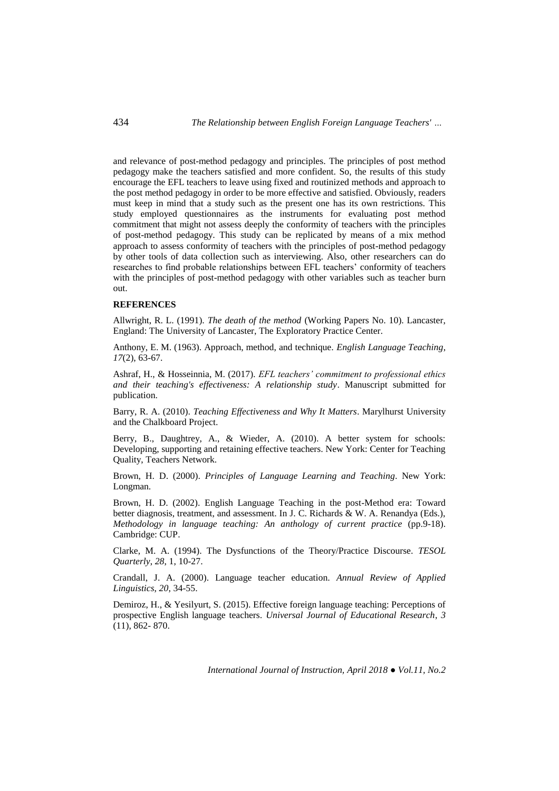and relevance of post-method pedagogy and principles. The principles of post method pedagogy make the teachers satisfied and more confident. So, the results of this study encourage the EFL teachers to leave using fixed and routinized methods and approach to the post method pedagogy in order to be more effective and satisfied. Obviously, readers must keep in mind that a study such as the present one has its own restrictions. This study employed questionnaires as the instruments for evaluating post method commitment that might not assess deeply the conformity of teachers with the principles of post-method pedagogy. This study can be replicated by means of a mix method approach to assess conformity of teachers with the principles of post-method pedagogy by other tools of data collection such as interviewing. Also, other researchers can do researches to find probable relationships between EFL teachers' conformity of teachers with the principles of post-method pedagogy with other variables such as teacher burn out.

# **REFERENCES**

Allwright, R. L. (1991). *The death of the method* (Working Papers No. 10). Lancaster, England: The University of Lancaster, The Exploratory Practice Center.

Anthony, E. M. (1963). Approach, method, and technique. *English Language Teaching*, *17*(2), 63-67.

Ashraf, H., & Hosseinnia, M. (2017). *EFL teachers' commitment to professional ethics and their teaching's effectiveness: A relationship study*. Manuscript submitted for publication.

Barry, R. A. (2010). *Teaching Effectiveness and Why It Matters*. Marylhurst University and the Chalkboard Project.

Berry, B., Daughtrey, A., & Wieder, A. (2010). A better system for schools: Developing, supporting and retaining effective teachers. New York: Center for Teaching Quality, Teachers Network.

Brown, H. D. (2000). *Principles of Language Learning and Teaching*. New York: Longman.

Brown, H. D. (2002). English Language Teaching in the post-Method era: Toward better diagnosis, treatment, and assessment. In J. C. Richards & W. A. Renandya (Eds.), *Methodology in language teaching: An anthology of current practice* (pp.9-18). Cambridge: CUP.

Clarke, M. A. (1994). The Dysfunctions of the Theory/Practice Discourse. *TESOL Quarterly*, *28*, 1, 10-27.

Crandall, J. A. (2000). Language teacher education. *Annual Review of Applied Linguistics*, *20*, 34-55.

Demiroz, H., & Yesilyurt, S. (2015). Effective foreign language teaching: Perceptions of prospective English language teachers. *Universal Journal of Educational Research*, *3* (11), 862- 870.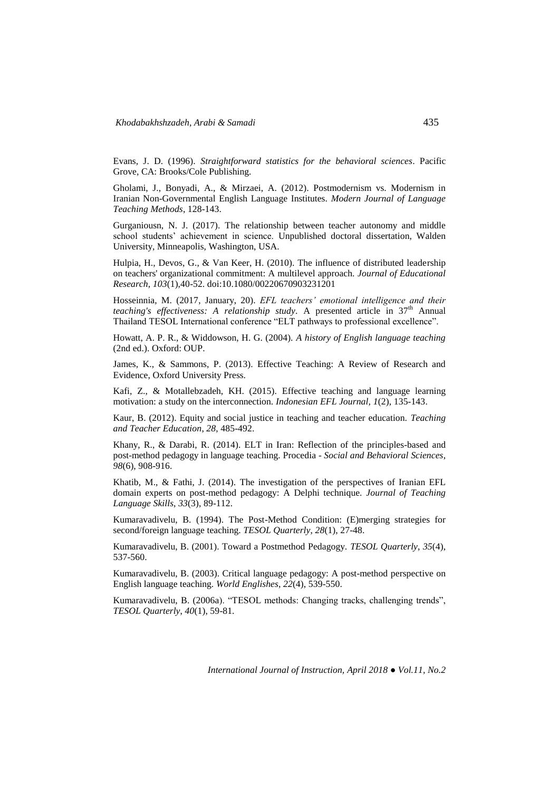Evans, J. D. (1996). *Straightforward statistics for the behavioral sciences*. Pacific Grove, CA: Brooks/Cole Publishing.

Gholami, J., Bonyadi, A., & Mirzaei, A. (2012). Postmodernism vs. Modernism in Iranian Non-Governmental English Language Institutes. *Modern Journal of Language Teaching Methods*, 128-143.

Gurganiousn, N. J. (2017). The relationship between teacher autonomy and middle school students' achievement in science. Unpublished doctoral dissertation, Walden University, Minneapolis, Washington, USA.

Hulpia, H., Devos, G., & Van Keer, H. (2010). The influence of distributed leadership on teachers' organizational commitment: A multilevel approach. *Journal of Educational Research*, *103*(1),40-52. doi:10.1080/00220670903231201

Hosseinnia, M. (2017, January, 20). *EFL teachers' emotional intelligence and their teaching's effectiveness: A relationship study*. A presented article in 37th Annual Thailand TESOL International conference "ELT pathways to professional excellence".

Howatt, A. P. R., & Widdowson, H. G. (2004). *A history of English language teaching* (2nd ed.). Oxford: OUP.

James, K., & Sammons, P. (2013). Effective Teaching: A Review of Research and Evidence, Oxford University Press.

Kafi, Z., & Motallebzadeh, KH. (2015). Effective teaching and language learning motivation: a study on the interconnection. *Indonesian EFL Journal, 1*(2), 135-143.

Kaur, B. (2012). Equity and social justice in teaching and teacher education. *Teaching and Teacher Education*, *28*, 485-492.

Khany, R., & Darabi, R. (2014). ELT in Iran: Reflection of the principles-based and post-method pedagogy in language teaching. Procedia - *Social and Behavioral Sciences*, *98*(6), 908-916.

Khatib, M., & Fathi, J. (2014). The investigation of the perspectives of Iranian EFL domain experts on post-method pedagogy: A Delphi technique. *Journal of Teaching Language Skills*, *33*(3), 89-112.

Kumaravadivelu, B. (1994). The Post-Method Condition: (E)merging strategies for second/foreign language teaching. *TESOL Quarterly*, *28*(1), 27-48.

Kumaravadivelu, B. (2001). Toward a Postmethod Pedagogy. *TESOL Quarterly*, *35*(4), 537-560.

Kumaravadivelu, B. (2003). Critical language pedagogy: A post-method perspective on English language teaching. *World Englishes*, *22*(4), 539-550.

Kumaravadivelu, B. (2006a). "TESOL methods: Changing tracks, challenging trends", *TESOL Quarterly*, *40*(1), 59-81.